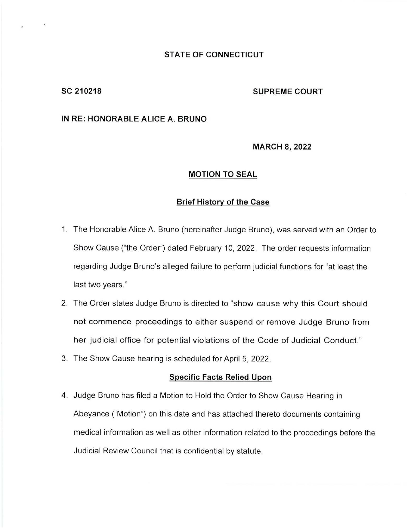## **STATE OF CONNECTICUT**

# SC 210218 SUPREME COURT

## **IN RE: HONORABLE ALICE A. BRUNO**

### **MARCH 8, 2022**

## **MOTION TO SEAL**

## **Brief History of the Case**

- 1. The Honorable Alice A. Bruno (hereinafter Judge Bruno), was served with an Order to Show Cause ("the Order") dated February 10, 2022. The order requests information regarding Judge Bruno's alleged failure to perform judicial functions for "at least the last two years."
- 2. The Order states Judge Bruno is directed to "show cause why this Court should not commence proceedings to either suspend or remove Judge Bruno from her judicial office for potential violations of the Code of Judicial Conduct."
- 3. The Show Cause hearing is scheduled for April 5, 2022.

### **Specific Facts Relied Upon**

4. Judge Bruno has filed a Motion to Hold the Order to Show Cause Hearing in Abeyance ("Motion") on this date and has attached thereto documents containing medical information as well as other information related to the proceedings before the Judicial Review Council that is confidential by statute.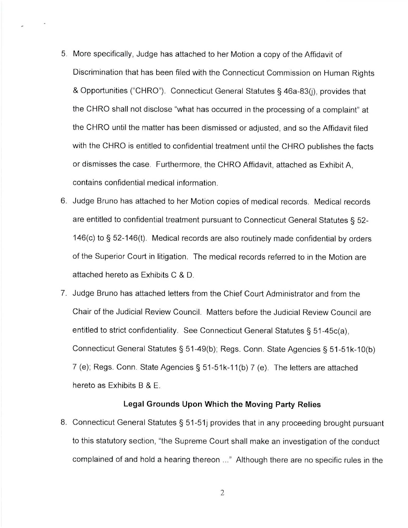- 5. More specifically, Judge has attached to her Motion a copy of the Affidavit of Discrimination that has been filed with the Connecticut Commission on Human Rights & Opportunities ("CHRO"). Connecticut General Statutes § 46a-83(j), provides that the CHRO shall not disclose "what has occurred in the processing of a complaint" at the CHRO until the matter has been dismissed or adjusted, and so the Affidavit filed with the CHRO is entitled to confidential treatment until the CHRO publishes the facts or dismisses the case. Furthermore, the CHRO Affidavit, attached as Exhibit A, contains confidential medical information.
- 6. Judge Bruno has attached to her Motion copies of medical records. Medical records are entitled to confidential treatment pursuant to Connecticut General Statutes § 52- 146(c) to§ 52-146(t). Medical records are also routinely made confidential by orders of the Superior Court in litigation. The medical records referred to in the Motion are attached hereto as Exhibits C & D.
- 7. Judge Bruno has attached letters from the Chief Court Administrator and from the Chair of the Judicial Review Council. Matters before the Judicial Review Council are entitled to strict confidentiality. See Connecticut General Statutes § 51-45c(a), Connecticut General Statutes§ 51-49(b); Regs. Conn. State Agencies§ 51-51k-10(b) 7 (e); Regs. Conn. State Agencies§ 51-51k-11(b) 7 (e). The letters are attached hereto as Exhibits B & E.

# **Legal Grounds Upon Which the Moving Party Relies**

8. Connecticut General Statutes§ 51-51j provides that in any proceeding brought pursuant to this statutory section, "the Supreme Court shall make an investigation of the conduct complained of and hold a hearing thereon ... " Although there are no specific rules in the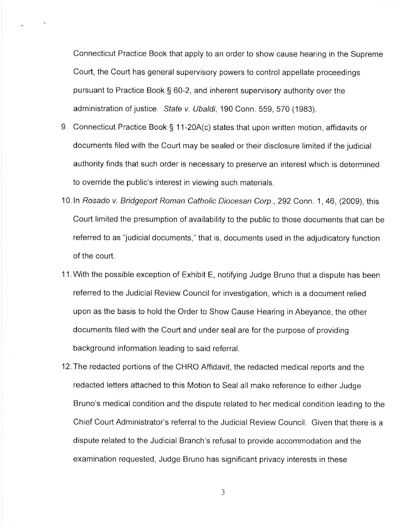Connecticut Practice Book that apply to an order to show cause hearing in the Supreme Court, the Court has general supervisory powers to control appellate proceedings pursuant to Practice Book§ 60-2, and inherent supervisory authority over the administration of justice. State v. Ubaldi, 190 Conn. 559, 570 (1983).

- 9. Connecticut Practice Book§ 11-20A(c) states that upon written motion, affidavits or documents filed with the Court may be sealed or their disclosure limited if the judicial authority finds that such order is necessary to preserve an interest which is determined to override the public's interest in viewing such materials.
- 10. In Rosado v. Bridgeport Roman Catholic Diocesan Corp., 292 Conn. 1, 46, (2009), this Court limited the presumption of availability to the public to those documents that can be referred to as "judicial documents," that is, documents used in the adjudicatory function of the court.
- 11 . With the possible exception of Exhibit E, notifying Judge Bruno that a dispute has been referred to the Judicial Review Council for investigation, which is a document relied upon as the basis to hold the Order to Show Cause Hearing in Abeyance, the other documents filed with the Court and under seal are for the purpose of providing background information leading to said referral.
- 12. The redacted portions of the CHRO Affidavit, the redacted medical reports and the redacted letters attached to this Motion to Seal all make reference to either Judge Bruno's medical condition and the dispute related to her medical condition leading to the Chief Court Administrator's referral to the Judicial Review Council. Given that there is a dispute related to the Judicial Branch's refusal to provide accommodation and the examination requested, Judge Bruno has significant privacy interests in these

3